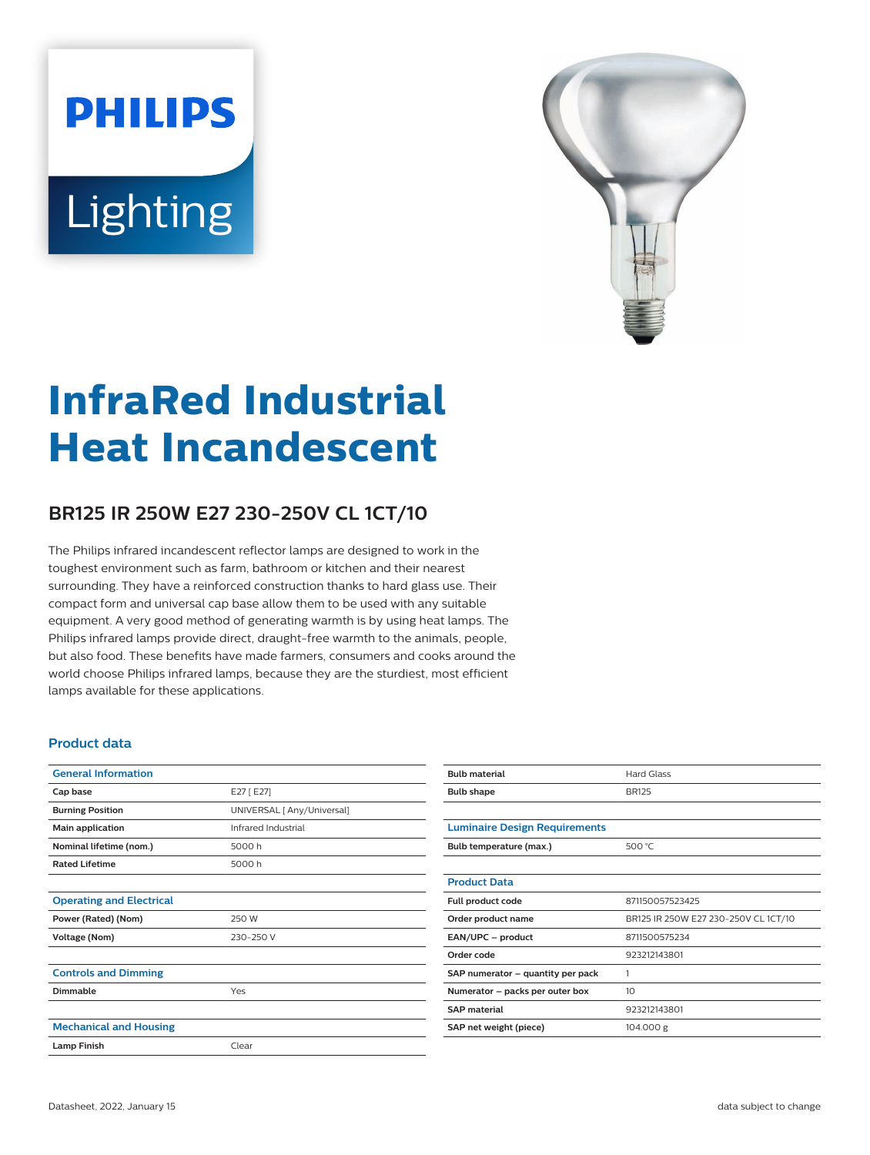# **PHILIPS** Lighting



# **InfraRed Industrial Heat Incandescent**

## **BR125 IR 250W E27 230-250V CL 1CT/10**

The Philips infrared incandescent reflector lamps are designed to work in the toughest environment such as farm, bathroom or kitchen and their nearest surrounding. They have a reinforced construction thanks to hard glass use. Their compact form and universal cap base allow them to be used with any suitable equipment. A very good method of generating warmth is by using heat lamps. The Philips infrared lamps provide direct, draught-free warmth to the animals, people, but also food. These benefits have made farmers, consumers and cooks around the world choose Philips infrared lamps, because they are the sturdiest, most efficient lamps available for these applications.

#### **Product data**

| <b>General Information</b>      |                            |  |
|---------------------------------|----------------------------|--|
| Cap base                        | E27 [E27]                  |  |
| <b>Burning Position</b>         | UNIVERSAL [ Any/Universal] |  |
| Main application                | Infrared Industrial        |  |
| Nominal lifetime (nom.)         | 5000h                      |  |
| <b>Rated Lifetime</b>           | 5000h                      |  |
|                                 |                            |  |
| <b>Operating and Electrical</b> |                            |  |
| Power (Rated) (Nom)             | 250 W                      |  |
| Voltage (Nom)                   | 230-250 V                  |  |
|                                 |                            |  |
| <b>Controls and Dimming</b>     |                            |  |
| <b>Dimmable</b>                 | Yes                        |  |
|                                 |                            |  |
| <b>Mechanical and Housing</b>   |                            |  |
| <b>Lamp Finish</b>              | Clear                      |  |

| <b>Bulb material</b>                 | <b>Hard Glass</b>                    |  |
|--------------------------------------|--------------------------------------|--|
| <b>Bulb shape</b>                    | <b>BR125</b>                         |  |
|                                      |                                      |  |
| <b>Luminaire Design Requirements</b> |                                      |  |
| Bulb temperature (max.)              | 500 $°C$                             |  |
|                                      |                                      |  |
| <b>Product Data</b>                  |                                      |  |
| Full product code                    | 871150057523425                      |  |
| Order product name                   | BR125 IR 250W E27 230-250V CL 1CT/10 |  |
| EAN/UPC - product                    | 8711500575234                        |  |
| Order code                           | 923212143801                         |  |
| SAP numerator - quantity per pack    | 1                                    |  |
| Numerator - packs per outer box      | 10                                   |  |
| <b>SAP material</b>                  | 923212143801                         |  |
| SAP net weight (piece)               | 104.000 g                            |  |
|                                      |                                      |  |